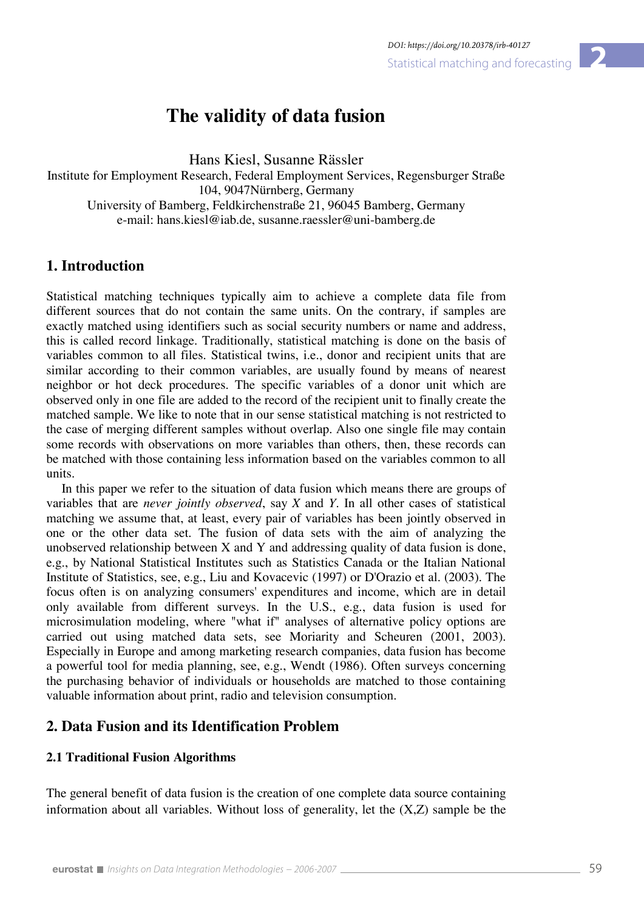# **The validity of data fusion**

Hans Kiesl, Susanne Rässler

Institute for Employment Research, Federal Employment Services, Regensburger Straße 104, 9047Nürnberg, Germany University of Bamberg, Feldkirchenstraße 21, 96045 Bamberg, Germany e-mail: hans.kiesl@iab.de, susanne.raessler@uni-bamberg.de

# **1. Introduction**

Statistical matching techniques typically aim to achieve a complete data file from different sources that do not contain the same units. On the contrary, if samples are exactly matched using identifiers such as social security numbers or name and address, this is called record linkage. Traditionally, statistical matching is done on the basis of variables common to all files. Statistical twins, i.e., donor and recipient units that are similar according to their common variables, are usually found by means of nearest neighbor or hot deck procedures. The specific variables of a donor unit which are observed only in one file are added to the record of the recipient unit to finally create the matched sample. We like to note that in our sense statistical matching is not restricted to the case of merging different samples without overlap. Also one single file may contain some records with observations on more variables than others, then, these records can be matched with those containing less information based on the variables common to all units.

In this paper we refer to the situation of data fusion which means there are groups of variables that are *never jointly observed*, say *X* and *Y*. In all other cases of statistical matching we assume that, at least, every pair of variables has been jointly observed in one or the other data set. The fusion of data sets with the aim of analyzing the unobserved relationship between X and Y and addressing quality of data fusion is done, e.g., by National Statistical Institutes such as Statistics Canada or the Italian National Institute of Statistics, see, e.g., Liu and Kovacevic (1997) or D'Orazio et al. (2003). The focus often is on analyzing consumers' expenditures and income, which are in detail only available from different surveys. In the U.S., e.g., data fusion is used for microsimulation modeling, where "what if" analyses of alternative policy options are carried out using matched data sets, see Moriarity and Scheuren (2001, 2003). Especially in Europe and among marketing research companies, data fusion has become a powerful tool for media planning, see, e.g., Wendt (1986). Often surveys concerning the purchasing behavior of individuals or households are matched to those containing valuable information about print, radio and television consumption.

# **2. Data Fusion and its Identification Problem**

## **2.1 Traditional Fusion Algorithms**

The general benefit of data fusion is the creation of one complete data source containing information about all variables. Without loss of generality, let the (X,Z) sample be the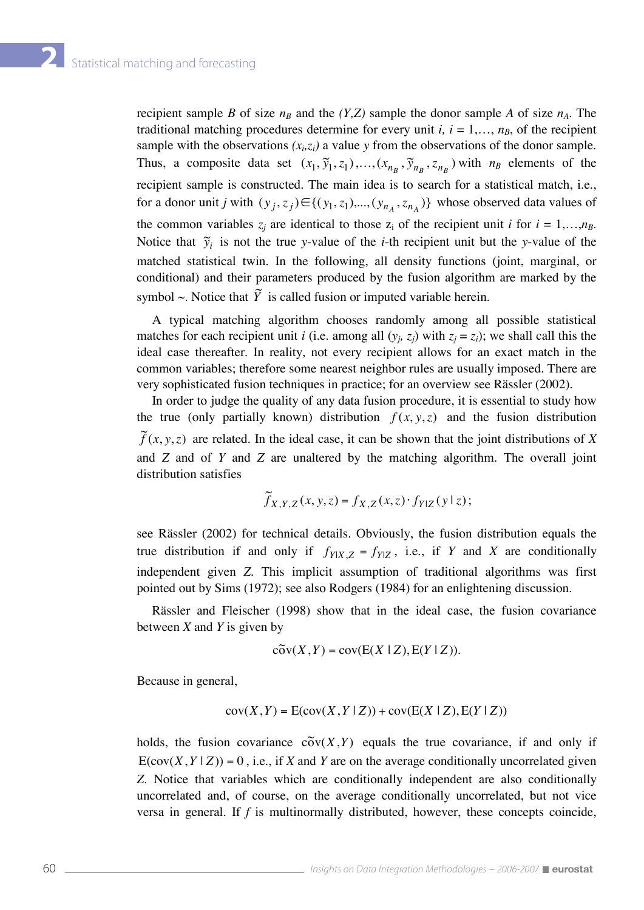recipient sample *B* of size  $n_B$  and the *(Y,Z)* sample the donor sample *A* of size  $n_A$ . The traditional matching procedures determine for every unit  $i, i = 1,..., n<sub>B</sub>$ , of the recipient sample with the observations  $(x_i, z_i)$  a value *y* from the observations of the donor sample. Thus, a composite data set  $(x_1, \tilde{y}_1, z_1)$ ,  $(x_{n_B}, \tilde{y}_{n_B}, z_{n_B})$  with  $n_B$  elements of the recipient sample is constructed. The main idea is to search for a statistical match, i.e., for a donor unit *j* with  $(y_j, z_j) \in \{(y_1, z_1),..., (y_{n_A}, z_{n_A})\}$  whose observed data values of the common variables  $z_j$  are identical to those  $z_i$  of the recipient unit *i* for  $i = 1,...,n_B$ . Notice that  $\tilde{y}_i$  is not the true *y*-value of the *i*-th recipient unit but the *y*-value of the matched statistical twin. In the following, all density functions (joint, marginal, or conditional) and their parameters produced by the fusion algorithm are marked by the symbol  $\sim$ . Notice that  $\tilde{Y}$  is called fusion or imputed variable herein.

 A typical matching algorithm chooses randomly among all possible statistical matches for each recipient unit *i* (i.e. among all  $(y_i, z_j)$  with  $z_j = z_j$ ); we shall call this the ideal case thereafter. In reality, not every recipient allows for an exact match in the common variables; therefore some nearest neighbor rules are usually imposed. There are very sophisticated fusion techniques in practice; for an overview see Rässler (2002).

 In order to judge the quality of any data fusion procedure, it is essential to study how the true (only partially known) distribution  $f(x, y, z)$  and the fusion distribution  $\widetilde{f}(x, y, z)$  are related. In the ideal case, it can be shown that the joint distributions of *X* and *Z* and of *Y* and *Z* are unaltered by the matching algorithm. The overall joint distribution satisfies

$$
\widetilde{f}_{X,Y,Z}(x,y,z) = f_{X,Z}(x,z) \cdot f_{Y|Z}(y \mid z);
$$

see Rässler (2002) for technical details. Obviously, the fusion distribution equals the true distribution if and only if  $f_{Y|X,Z} = f_{Y|Z}$ , i.e., if *Y* and *X* are conditionally independent given *Z*. This implicit assumption of traditional algorithms was first pointed out by Sims (1972); see also Rodgers (1984) for an enlightening discussion.

 Rässler and Fleischer (1998) show that in the ideal case, the fusion covariance between *X* and *Y* is given by

$$
\widetilde{\mathrm{cov}}(X,Y) = \mathrm{cov}(\mathrm{E}(X \mid Z), \mathrm{E}(Y \mid Z)).
$$

Because in general,

$$
cov(X, Y) = E(cov(X, Y \mid Z)) + cov(E(X \mid Z), E(Y \mid Z))
$$

holds, the fusion covariance  $c\tilde{o}v(X, Y)$  equals the true covariance, if and only if  $E(cov(X, Y | Z)) = 0$ , i.e., if *X* and *Y* are on the average conditionally uncorrelated given *Z*. Notice that variables which are conditionally independent are also conditionally uncorrelated and, of course, on the average conditionally uncorrelated, but not vice versa in general. If *f* is multinormally distributed, however, these concepts coincide,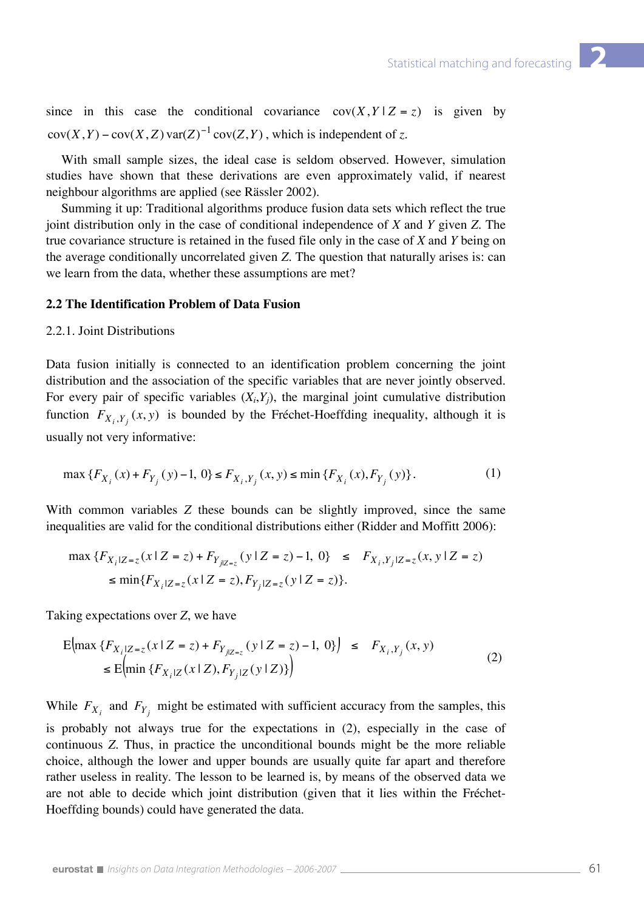since in this case the conditional covariance  $cov(X, Y|Z = z)$  is given by  $cov(X, Y) - cov(X, Z) var(Z)^{-1} cov(Z, Y)$ , which is independent of *z*.

 With small sample sizes, the ideal case is seldom observed. However, simulation studies have shown that these derivations are even approximately valid, if nearest neighbour algorithms are applied (see Rässler 2002).

 Summing it up: Traditional algorithms produce fusion data sets which reflect the true joint distribution only in the case of conditional independence of *X* and *Y* given *Z*. The true covariance structure is retained in the fused file only in the case of *X* and *Y* being on the average conditionally uncorrelated given *Z*. The question that naturally arises is: can we learn from the data, whether these assumptions are met?

## **2.2 The Identification Problem of Data Fusion**

#### 2.2.1. Joint Distributions

Data fusion initially is connected to an identification problem concerning the joint distribution and the association of the specific variables that are never jointly observed. For every pair of specific variables  $(X_i, Y_j)$ , the marginal joint cumulative distribution function  $F_{X_i, Y_j}(x, y)$  is bounded by the Fréchet-Hoeffding inequality, although it is usually not very informative:

$$
\max \{ F_{X_i}(x) + F_{Y_j}(y) - 1, 0 \} \le F_{X_i, Y_j}(x, y) \le \min \{ F_{X_i}(x), F_{Y_j}(y) \}. \tag{1}
$$

With common variables *Z* these bounds can be slightly improved, since the same inequalities are valid for the conditional distributions either (Ridder and Moffitt 2006):

$$
\max \{ F_{X_i|Z=z}(x \mid Z=z) + F_{Y_{j|Z=z}}(y \mid Z=z) - 1, 0 \} \le F_{X_i, Y_j|Z=z}(x, y \mid Z=z)
$$
  

$$
\le \min \{ F_{X_i|Z=z}(x \mid Z=z), F_{Y_j|Z=z}(y \mid Z=z) \}.
$$

Taking expectations over *Z*, we have

$$
E\left(\max \left\{F_{X_i|Z=z}(x \mid Z=z) + F_{Y_{j|Z=z}}(y \mid Z=z) - 1, 0\right\}\right) \le F_{X_i, Y_j}(x, y) \le E\left(\min \left\{F_{X_i|Z}(x \mid Z), F_{Y_j|Z}(y \mid Z)\right\}\right) \tag{2}
$$

While  $F_{X_i}$  and  $F_{Y_j}$  might be estimated with sufficient accuracy from the samples, this is probably not always true for the expectations in (2), especially in the case of continuous *Z*. Thus, in practice the unconditional bounds might be the more reliable choice, although the lower and upper bounds are usually quite far apart and therefore rather useless in reality. The lesson to be learned is, by means of the observed data we are not able to decide which joint distribution (given that it lies within the Fréchet-Hoeffding bounds) could have generated the data.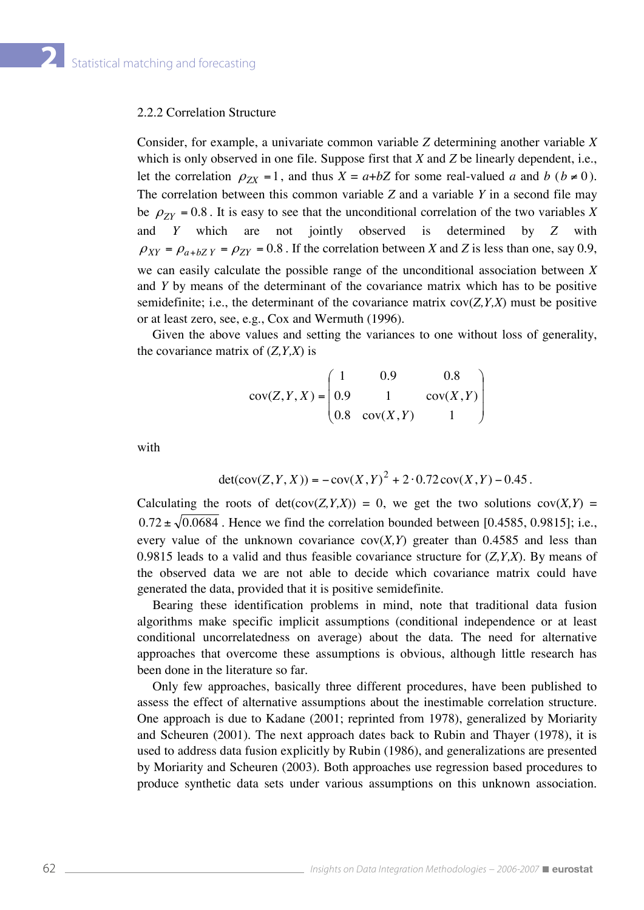#### 2.2.2 Correlation Structure

Consider, for example, a univariate common variable *Z* determining another variable *X*  which is only observed in one file. Suppose first that *X* and *Z* be linearly dependent, i.e., let the correlation  $\rho_{ZX} = 1$ , and thus  $X = a + bZ$  for some real-valued *a* and *b* ( $b \ne 0$ ). The correlation between this common variable *Z* and a variable *Y* in a second file may be  $\rho_{ZY}$  = 0.8. It is easy to see that the unconditional correlation of the two variables *X* and *Y* which are not jointly observed is determined by *Z* with  $\rho_{XY} = \rho_{a+bZY} = \rho_{ZY} = 0.8$ . If the correlation between *X* and *Z* is less than one, say 0.9, we can easily calculate the possible range of the unconditional association between *X*  and *Y* by means of the determinant of the covariance matrix which has to be positive semidefinite; i.e., the determinant of the covariance matrix cov(*Z,Y,X*) must be positive or at least zero, see, e.g., Cox and Wermuth (1996).

 Given the above values and setting the variances to one without loss of generality, the covariance matrix of (*Z,Y,X*) is

$$
cov(Z, Y, X) = \begin{pmatrix} 1 & 0.9 & 0.8 \\ 0.9 & 1 & cov(X, Y) \\ 0.8 & cov(X, Y) & 1 \end{pmatrix}
$$

with

$$
det(cov(Z, Y, X)) = -cov(X, Y)^{2} + 2 \cdot 0.72 cov(X, Y) - 0.45.
$$

Calculating the roots of  $det(cov(Z, Y, X)) = 0$ , we get the two solutions  $cov(X, Y) =$  $0.72 \pm \sqrt{0.0684}$ . Hence we find the correlation bounded between [0.4585, 0.9815]; i.e., every value of the unknown covariance  $cov(X, Y)$  greater than 0.4585 and less than 0.9815 leads to a valid and thus feasible covariance structure for (*Z,Y,X*). By means of the observed data we are not able to decide which covariance matrix could have generated the data, provided that it is positive semidefinite.

 Bearing these identification problems in mind, note that traditional data fusion algorithms make specific implicit assumptions (conditional independence or at least conditional uncorrelatedness on average) about the data. The need for alternative approaches that overcome these assumptions is obvious, although little research has been done in the literature so far.

 Only few approaches, basically three different procedures, have been published to assess the effect of alternative assumptions about the inestimable correlation structure. One approach is due to Kadane (2001; reprinted from 1978), generalized by Moriarity and Scheuren (2001). The next approach dates back to Rubin and Thayer (1978), it is used to address data fusion explicitly by Rubin (1986), and generalizations are presented by Moriarity and Scheuren (2003). Both approaches use regression based procedures to produce synthetic data sets under various assumptions on this unknown association.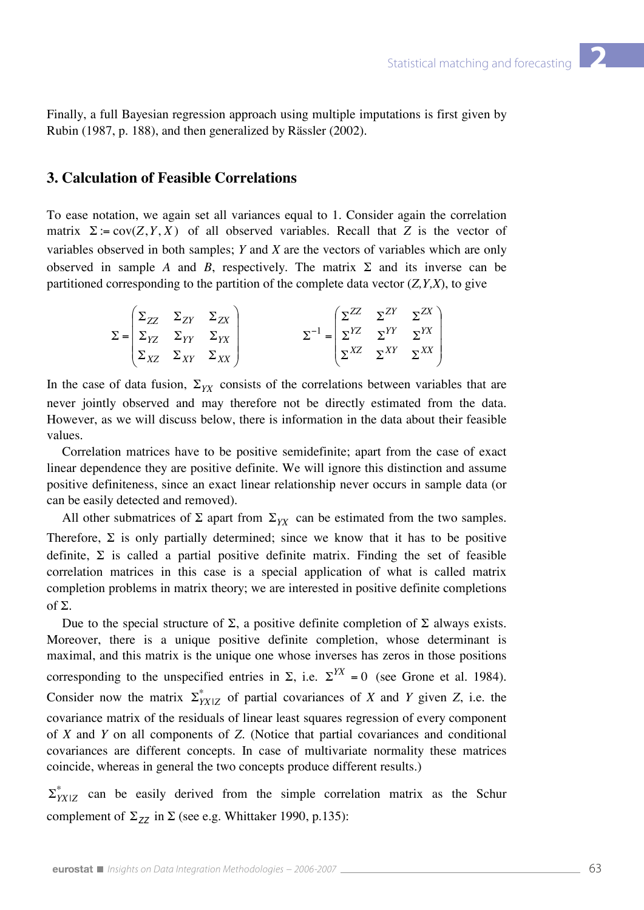Finally, a full Bayesian regression approach using multiple imputations is first given by Rubin (1987, p. 188), and then generalized by Rässler (2002).

# **3. Calculation of Feasible Correlations**

To ease notation, we again set all variances equal to 1. Consider again the correlation matrix  $\Sigma = \text{cov}(Z, Y, X)$  of all observed variables. Recall that Z is the vector of variables observed in both samples; *Y* and *X* are the vectors of variables which are only observed in sample *A* and *B*, respectively. The matrix  $\Sigma$  and its inverse can be partitioned corresponding to the partition of the complete data vector (*Z,Y,X*), to give

|  | $\left[\begin{array}{cc} \Sigma_{ZZ} & \Sigma_{ZY} & \Sigma_{ZX}\end{array}\right]$ |                                                              |  | $\left(\sum ZZ \quad \sum ZY \quad \sum ZX\right)$ |
|--|-------------------------------------------------------------------------------------|--------------------------------------------------------------|--|----------------------------------------------------|
|  | $\Sigma =  \Sigma_{YZ} \Sigma_{YY} \Sigma_{YX} $                                    | $\Sigma^{-1} = \left  \sum^{YZ} \sum^{YY} \sum^{YX} \right $ |  |                                                    |
|  | $\sum_{XZ} \sum_{XY} \sum_{XX}$                                                     |                                                              |  | $\sum^{XZ} \sum^{XY} \sum^{XX}$                    |

In the case of data fusion,  $\Sigma_{YX}$  consists of the correlations between variables that are never jointly observed and may therefore not be directly estimated from the data. However, as we will discuss below, there is information in the data about their feasible values.

 Correlation matrices have to be positive semidefinite; apart from the case of exact linear dependence they are positive definite. We will ignore this distinction and assume positive definiteness, since an exact linear relationship never occurs in sample data (or can be easily detected and removed).

All other submatrices of  $\Sigma$  apart from  $\Sigma_{YY}$  can be estimated from the two samples. Therefore,  $\Sigma$  is only partially determined; since we know that it has to be positive definite,  $\Sigma$  is called a partial positive definite matrix. Finding the set of feasible correlation matrices in this case is a special application of what is called matrix completion problems in matrix theory; we are interested in positive definite completions of Σ.

Due to the special structure of Σ, a positive definite completion of Σ always exists. Moreover, there is a unique positive definite completion, whose determinant is maximal, and this matrix is the unique one whose inverses has zeros in those positions corresponding to the unspecified entries in  $\Sigma$ , i.e.  $\Sigma^{YX} = 0$  (see Grone et al. 1984). Consider now the matrix  $\sum_{Y}^{*}$  of partial covariances of *X* and *Y* given *Z*, i.e. the covariance matrix of the residuals of linear least squares regression of every component of *X* and *Y* on all components of *Z*. (Notice that partial covariances and conditional covariances are different concepts. In case of multivariate normality these matrices coincide, whereas in general the two concepts produce different results.)

 $\Sigma_{YX|Z}^*$  can be easily derived from the simple correlation matrix as the Schur complement of  $\Sigma_{ZZ}$  in  $\Sigma$  (see e.g. Whittaker 1990, p.135):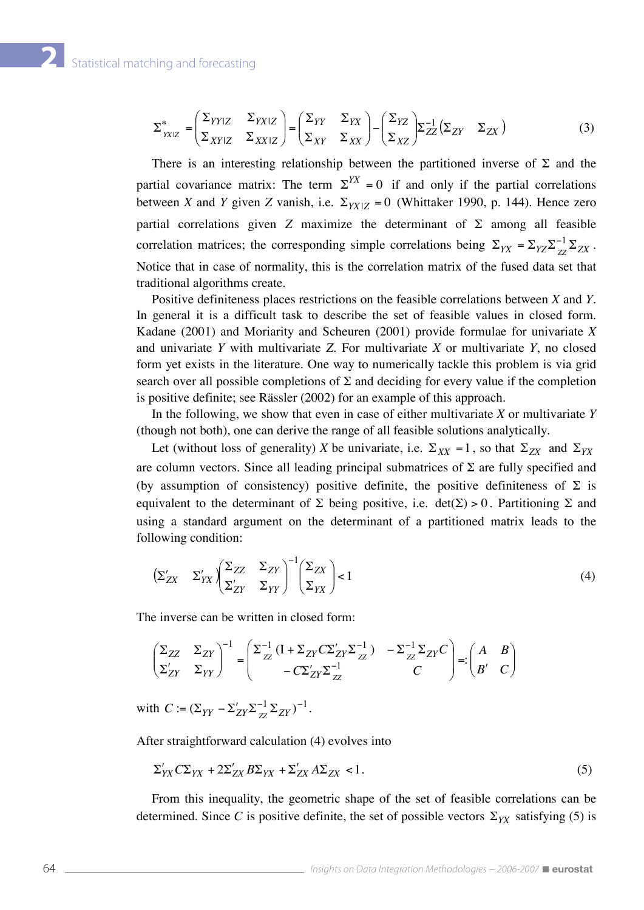$$
\Sigma_{YYIZ}^{*} = \begin{pmatrix} \Sigma_{YYIZ} & \Sigma_{YXIZ} \\ \Sigma_{XYIZ} & \Sigma_{XXIZ} \end{pmatrix} = \begin{pmatrix} \Sigma_{YY} & \Sigma_{YX} \\ \Sigma_{XY} & \Sigma_{XX} \end{pmatrix} - \begin{pmatrix} \Sigma_{YZ} \\ \Sigma_{XZ} \end{pmatrix} \Sigma_{ZZ}^{-1} \begin{pmatrix} \Sigma_{ZY} & \Sigma_{ZX} \end{pmatrix} \tag{3}
$$

There is an interesting relationship between the partitioned inverse of  $\Sigma$  and the partial covariance matrix: The term  $\Sigma^{YX} = 0$  if and only if the partial correlations between *X* and *Y* given *Z* vanish, i.e.  $\Sigma_{YX|Z} = 0$  (Whittaker 1990, p. 144). Hence zero partial correlations given *Z* maximize the determinant of Σ among all feasible correlation matrices; the corresponding simple correlations being  $\Sigma_{YX} = \Sigma_{YZ} \Sigma_{ZZ}^{-1} \Sigma_{ZX}$ . Notice that in case of normality, this is the correlation matrix of the fused data set that traditional algorithms create.

 Positive definiteness places restrictions on the feasible correlations between *X* and *Y.*  In general it is a difficult task to describe the set of feasible values in closed form. Kadane (2001) and Moriarity and Scheuren (2001) provide formulae for univariate *X*  and univariate *Y* with multivariate *Z*. For multivariate *X* or multivariate *Y*, no closed form yet exists in the literature. One way to numerically tackle this problem is via grid search over all possible completions of  $\Sigma$  and deciding for every value if the completion is positive definite; see Rässler (2002) for an example of this approach.

 In the following, we show that even in case of either multivariate *X* or multivariate *Y*  (though not both), one can derive the range of all feasible solutions analytically.

Let (without loss of generality) *X* be univariate, i.e.  $\Sigma_{XX} = 1$ , so that  $\Sigma_{ZX}$  and  $\Sigma_{YX}$ are column vectors. Since all leading principal submatrices of  $\Sigma$  are fully specified and (by assumption of consistency) positive definite, the positive definiteness of  $\Sigma$  is equivalent to the determinant of  $\Sigma$  being positive, i.e.  $det(\Sigma) > 0$ . Partitioning  $\Sigma$  and using a standard argument on the determinant of a partitioned matrix leads to the following condition:

$$
\left(\Sigma_{ZX}^{\prime} \quad \Sigma_{YX}^{\prime}\right) \begin{pmatrix} \Sigma_{ZZ} & \Sigma_{ZY} \\ \Sigma_{ZY}^{\prime} & \Sigma_{YY} \end{pmatrix}^{-1} \begin{pmatrix} \Sigma_{ZX} \\ \Sigma_{YX} \end{pmatrix} < 1\tag{4}
$$

The inverse can be written in closed form:

$$
\begin{pmatrix} \Sigma_{ZZ} & \Sigma_{ZY} \\ \Sigma_{ZY} & \Sigma_{YY} \end{pmatrix}^{-1} = \begin{pmatrix} \Sigma_{ZZ}^{-1} \left( \mathbf{I} + \Sigma_{ZY} C \Sigma_{ZY} \Sigma_{ZZ}^{-1} \right) & -\Sigma_{ZZ}^{-1} \Sigma_{ZY} C \\ -C \Sigma_{ZY} \Sigma_{ZZ}^{-1} & C \end{pmatrix} =: \begin{pmatrix} A & B \\ B' & C \end{pmatrix}
$$

with  $C := (\Sigma_{YY} - \Sigma_{ZY}' \Sigma_{ZZ}^{-1} \Sigma_{ZY})^{-1}$ .

After straightforward calculation (4) evolves into

$$
\Sigma'_{YX} C\Sigma_{YX} + 2\Sigma'_{ZX} B\Sigma_{YX} + \Sigma'_{ZX} A\Sigma_{ZX} < 1. \tag{5}
$$

 From this inequality, the geometric shape of the set of feasible correlations can be determined. Since *C* is positive definite, the set of possible vectors  $\Sigma_{YX}$  satisfying (5) is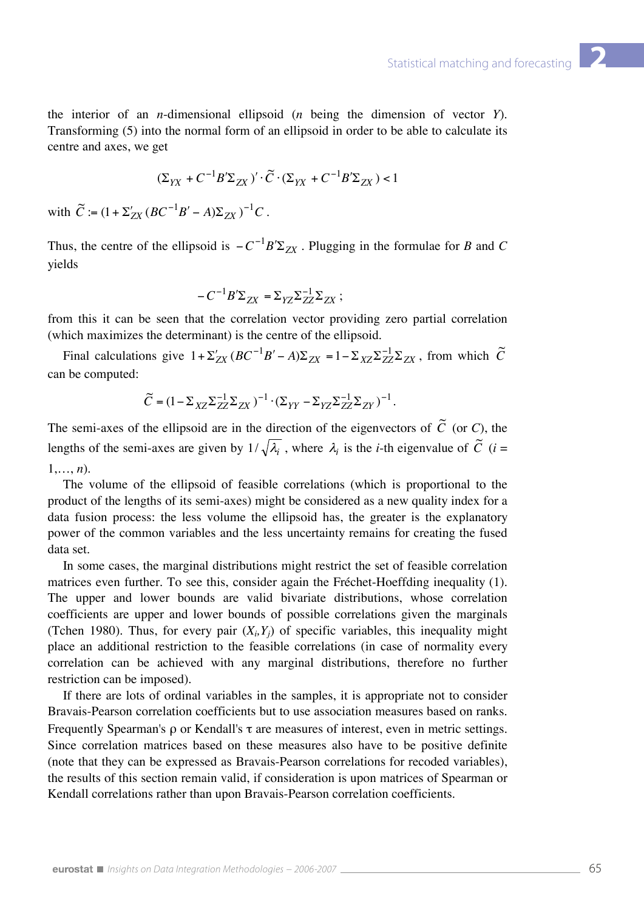the interior of an *n*-dimensional ellipsoid (*n* being the dimension of vector *Y*). Transforming (5) into the normal form of an ellipsoid in order to be able to calculate its centre and axes, we get

$$
(\Sigma_{YX}+C^{-1}B'\Sigma_{ZX})'\cdot \widetilde C\cdot (\Sigma_{YX}+C^{-1}B'\Sigma_{ZX})<1
$$

with  $\widetilde{C} := (1 + \Sigma_{ZX}^{\prime} (BC^{-1}B' - A)\Sigma_{ZX})^{-1}C$ .

Thus, the centre of the ellipsoid is  $-C^{-1}B'\Sigma_{ZX}$ . Plugging in the formulae for *B* and *C* yields

$$
-C^{-1}B^{\prime}\Sigma_{ZX}=\Sigma_{YZ}\Sigma_{ZZ}^{-1}\Sigma_{ZX}\;;
$$

from this it can be seen that the correlation vector providing zero partial correlation (which maximizes the determinant) is the centre of the ellipsoid.

Final calculations give  $1 + \sum_{XX} (BC^{-1}B' - A)\sum_{XX} = 1 - \sum_{XZ} \sum_{ZZ}^{-1} \sum_{ZX}$ , from which  $\tilde{C}$ can be computed:

$$
\widetilde{C} = \big(1 - \Sigma_{XZ} \Sigma_{ZZ}^{-1} \Sigma_{ZX}\big)^{-1} \cdot \big(\Sigma_{YY} - \Sigma_{YZ} \Sigma_{ZZ}^{-1} \Sigma_{ZY}\big)^{-1} \,.
$$

The semi-axes of the ellipsoid are in the direction of the eigenvectors of  $\tilde{C}$  (or *C*), the lengths of the semi-axes are given by  $1/\sqrt{\lambda_i}$ , where  $\lambda_i$  is the *i*-th eigenvalue of  $\tilde{C}$  (*i* = 1,…, *n*).

 The volume of the ellipsoid of feasible correlations (which is proportional to the product of the lengths of its semi-axes) might be considered as a new quality index for a data fusion process: the less volume the ellipsoid has, the greater is the explanatory power of the common variables and the less uncertainty remains for creating the fused data set.

 In some cases, the marginal distributions might restrict the set of feasible correlation matrices even further. To see this, consider again the Fréchet-Hoeffding inequality (1). The upper and lower bounds are valid bivariate distributions, whose correlation coefficients are upper and lower bounds of possible correlations given the marginals (Tchen 1980). Thus, for every pair  $(X_i, Y_j)$  of specific variables, this inequality might place an additional restriction to the feasible correlations (in case of normality every correlation can be achieved with any marginal distributions, therefore no further restriction can be imposed).

 If there are lots of ordinal variables in the samples, it is appropriate not to consider Bravais-Pearson correlation coefficients but to use association measures based on ranks. Frequently Spearman's ρ or Kendall's τ are measures of interest, even in metric settings. Since correlation matrices based on these measures also have to be positive definite (note that they can be expressed as Bravais-Pearson correlations for recoded variables), the results of this section remain valid, if consideration is upon matrices of Spearman or Kendall correlations rather than upon Bravais-Pearson correlation coefficients.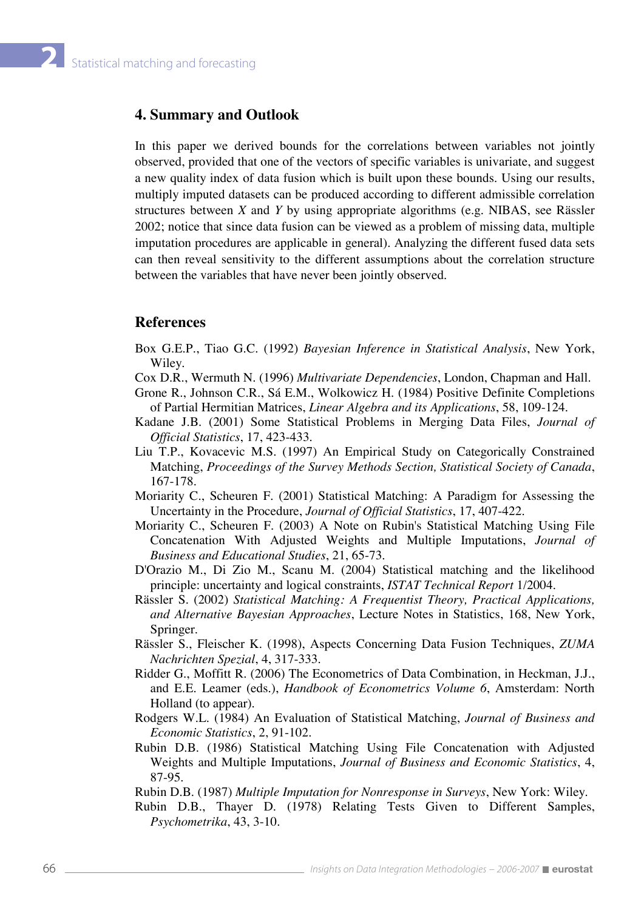### **4. Summary and Outlook**

In this paper we derived bounds for the correlations between variables not jointly observed, provided that one of the vectors of specific variables is univariate, and suggest a new quality index of data fusion which is built upon these bounds. Using our results, multiply imputed datasets can be produced according to different admissible correlation structures between *X* and *Y* by using appropriate algorithms (e.g. NIBAS, see Rässler 2002; notice that since data fusion can be viewed as a problem of missing data, multiple imputation procedures are applicable in general). Analyzing the different fused data sets can then reveal sensitivity to the different assumptions about the correlation structure between the variables that have never been jointly observed.

#### **References**

- Box G.E.P., Tiao G.C. (1992) *Bayesian Inference in Statistical Analysis*, New York, Wiley.
- Cox D.R., Wermuth N. (1996) *Multivariate Dependencies*, London, Chapman and Hall.
- Grone R., Johnson C.R., Sá E.M., Wolkowicz H. (1984) Positive Definite Completions of Partial Hermitian Matrices, *Linear Algebra and its Applications*, 58, 109-124.
- Kadane J.B. (2001) Some Statistical Problems in Merging Data Files, *Journal of Official Statistics*, 17, 423-433.
- Liu T.P., Kovacevic M.S. (1997) An Empirical Study on Categorically Constrained Matching, *Proceedings of the Survey Methods Section, Statistical Society of Canada*, 167-178.
- Moriarity C., Scheuren F. (2001) Statistical Matching: A Paradigm for Assessing the Uncertainty in the Procedure, *Journal of Official Statistics*, 17, 407-422.
- Moriarity C., Scheuren F. (2003) A Note on Rubin's Statistical Matching Using File Concatenation With Adjusted Weights and Multiple Imputations, *Journal of Business and Educational Studies*, 21, 65-73.
- D'Orazio M., Di Zio M., Scanu M. (2004) Statistical matching and the likelihood principle: uncertainty and logical constraints, *ISTAT Technical Report* 1/2004.
- Rässler S. (2002) *Statistical Matching: A Frequentist Theory, Practical Applications, and Alternative Bayesian Approaches*, Lecture Notes in Statistics, 168, New York, Springer.
- Rässler S., Fleischer K. (1998), Aspects Concerning Data Fusion Techniques, *ZUMA Nachrichten Spezial*, 4, 317-333.
- Ridder G., Moffitt R. (2006) The Econometrics of Data Combination, in Heckman, J.J., and E.E. Leamer (eds.), *Handbook of Econometrics Volume 6*, Amsterdam: North Holland (to appear).
- Rodgers W.L. (1984) An Evaluation of Statistical Matching, *Journal of Business and Economic Statistics*, 2, 91-102.
- Rubin D.B. (1986) Statistical Matching Using File Concatenation with Adjusted Weights and Multiple Imputations, *Journal of Business and Economic Statistics*, 4, 87-95.

Rubin D.B. (1987) *Multiple Imputation for Nonresponse in Surveys*, New York: Wiley.

Rubin D.B., Thayer D. (1978) Relating Tests Given to Different Samples, *Psychometrika*, 43, 3-10.